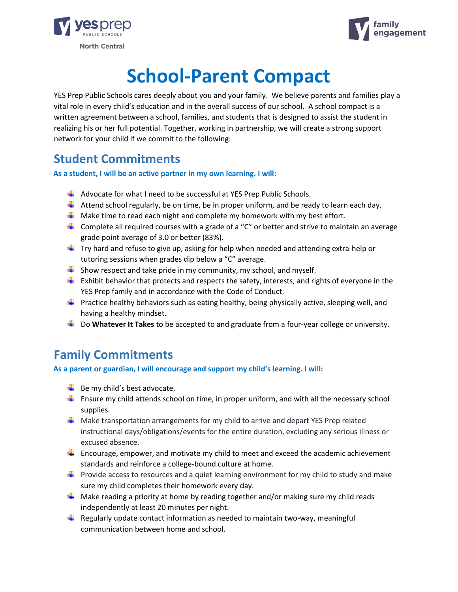



# **School-Parent Compact**

YES Prep Public Schools cares deeply about you and your family. We believe parents and families play a vital role in every child's education and in the overall success of our school. A school compact is a written agreement between a school, families, and students that is designed to assist the student in realizing his or her full potential. Together, working in partnership, we will create a strong support network for your child if we commit to the following:

#### **Student Commitments**

**As a student, I will be an active partner in my own learning. I will:**

- $\downarrow$  Advocate for what I need to be successful at YES Prep Public Schools.
- $\downarrow$  Attend school regularly, be on time, be in proper uniform, and be ready to learn each day.
- $\downarrow$  Make time to read each night and complete my homework with my best effort.
- Complete all required courses with a grade of a "C" or better and strive to maintain an average grade point average of 3.0 or better (83%).
- $\ddot{\phantom{1}}$  Try hard and refuse to give up, asking for help when needed and attending extra-help or tutoring sessions when grades dip below a "C" average.
- $\downarrow$  Show respect and take pride in my community, my school, and myself.
- $\frac{1}{2}$  Exhibit behavior that protects and respects the safety, interests, and rights of everyone in the YES Prep family and in accordance with the Code of Conduct.
- **Practice healthy behaviors such as eating healthy, being physically active, sleeping well, and** having a healthy mindset.
- **L** Do **Whatever It Takes** to be accepted to and graduate from a four-year college or university.

#### **Family Commitments**

**As a parent or guardian, I will encourage and support my child's learning. I will:**

- $\overline{\phantom{a}}$  Be my child's best advocate.
- $\ddot{\phantom{1}}$  Ensure my child attends school on time, in proper uniform, and with all the necessary school supplies.
- $\frac{1}{\sqrt{2}}$  Make transportation arrangements for my child to arrive and depart YES Prep related instructional days/obligations/events for the entire duration, excluding any serious illness or excused absence.
- $\ddot{\bullet}$  Encourage, empower, and motivate my child to meet and exceed the academic achievement standards and reinforce a college-bound culture at home.
- **Provide access to resources and a quiet learning environment for my child to study and make** sure my child completes their homework every day.
- $\ddot{\phantom{1}}$  Make reading a priority at home by reading together and/or making sure my child reads independently at least 20 minutes per night.
- $\ddot{\phantom{1}}$  Regularly update contact information as needed to maintain two-way, meaningful communication between home and school.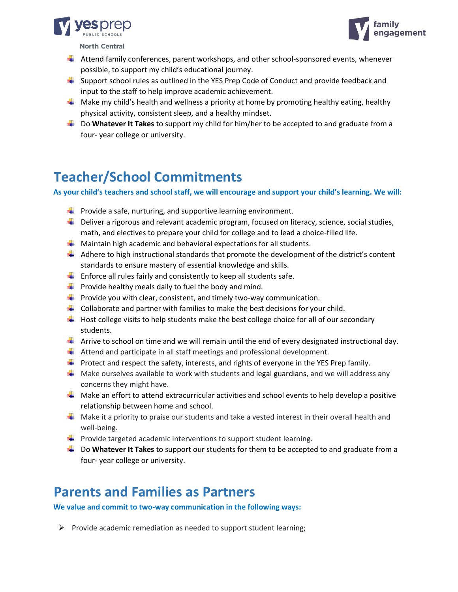



**North Central** 

- $\frac{1}{2}$  Attend family conferences, parent workshops, and other school-sponsored events, whenever possible, to support my child's educational journey.
- $\frac{1}{2}$  Support school rules as outlined in the YES Prep Code of Conduct and provide feedback and input to the staff to help improve academic achievement.
- $\downarrow$  Make my child's health and wellness a priority at home by promoting healthy eating, healthy physical activity, consistent sleep, and a healthy mindset.
- **L** Do **Whatever It Takes** to support my child for him/her to be accepted to and graduate from a four- year college or university.

## **Teacher/School Commitments**

**As your child's teachers and school staff, we will encourage and support your child's learning. We will:**

- $\downarrow$  Provide a safe, nurturing, and supportive learning environment.
- $\downarrow$  Deliver a rigorous and relevant academic program, focused on literacy, science, social studies, math, and electives to prepare your child for college and to lead a choice-filled life.
- $\downarrow$  Maintain high academic and behavioral expectations for all students.
- $\downarrow$  Adhere to high instructional standards that promote the development of the district's content standards to ensure mastery of essential knowledge and skills.
- $\ddot{\phantom{1}}$  Enforce all rules fairly and consistently to keep all students safe.
- $\frac{1}{2}$  Provide healthy meals daily to fuel the body and mind.
- $\downarrow$  Provide you with clear, consistent, and timely two-way communication.
- $\downarrow$  Collaborate and partner with families to make the best decisions for your child.
- $\ddot{\phantom{1}}$  Host college visits to help students make the best college choice for all of our secondary students.
- $\downarrow$  Arrive to school on time and we will remain until the end of every designated instructional day.
- $\ddot{\phantom{1}}$  Attend and participate in all staff meetings and professional development.
- **Protect and respect the safety, interests, and rights of everyone in the YES Prep family.**
- $\frac{1}{2}$  Make ourselves available to work with students and legal guardians, and we will address any concerns they might have.
- $\downarrow$  Make an effort to attend extracurricular activities and school events to help develop a positive relationship between home and school.
- $\downarrow$  Make it a priority to praise our students and take a vested interest in their overall health and well-being.
- $\downarrow$  Provide targeted academic interventions to support student learning.
- **LEAU Do Whatever It Takes** to support our students for them to be accepted to and graduate from a four- year college or university.

### **Parents and Families as Partners**

**We value and commit to two-way communication in the following ways:**

 $\triangleright$  Provide academic remediation as needed to support student learning;